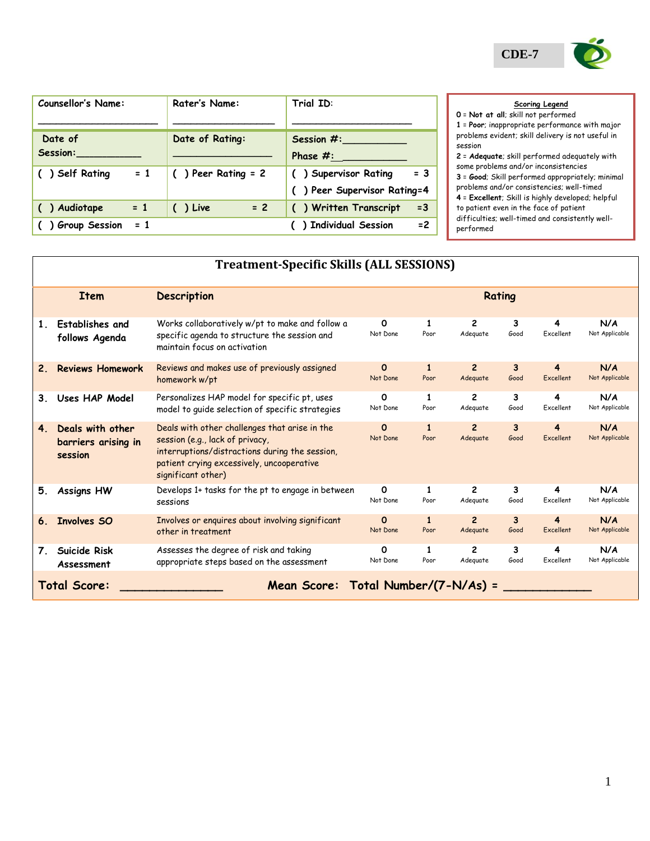| $\mathbf{CDE}\text{-}7$ |  |
|-------------------------|--|

| <b>Counsellor's Name:</b> | Rater's Name:         | Trial ID:                                                    |
|---------------------------|-----------------------|--------------------------------------------------------------|
| Date of<br>Session:       | Date of Rating:       | Session $#$ :<br>Phase $\#$ :                                |
| $= 1$<br>() Self Rating   | $( )$ Peer Rating = 2 | $= 3$<br>() Supervisor Rating<br>() Peer Supervisor Rating=4 |
| $= 1$<br>( ) Audiotape    | $= 2$<br>() Live      | () Written Transcript<br>$=3$                                |
| $= 1$<br>Group Session    |                       | $= 2$<br>() Individual Session                               |

## **Scoring Legend**

**0** = **Not at all**; skill not performed **1** = **Poor**; inappropriate performance with major problems evident; skill delivery is not useful in session

**2** = **Adequate**; skill performed adequately with some problems and/or inconsistencies **3** = **Good**; Skill performed appropriately; minimal problems and/or consistencies; well-timed **4** = **Excellent**; Skill is highly developed; helpful to patient even in the face of patient difficulties; well-timed and consistently wellperformed

|                | <b>Treatment-Specific Skills (ALL SESSIONS)</b>     |                                                                                                                                                                                                       |                      |                      |                            |           |                |                       |
|----------------|-----------------------------------------------------|-------------------------------------------------------------------------------------------------------------------------------------------------------------------------------------------------------|----------------------|----------------------|----------------------------|-----------|----------------|-----------------------|
|                | <b>Item</b>                                         | <b>Description</b>                                                                                                                                                                                    |                      |                      |                            | Rating    |                |                       |
| 1.             | <b>Establishes and</b><br>follows Agenda            | Works collaboratively w/pt to make and follow a<br>specific agenda to structure the session and<br>maintain focus on activation                                                                       | 0<br>Not Done        | 1<br>Poor            | 2<br>Adequate              | 3<br>Good | 4<br>Excellent | N/A<br>Not Applicable |
| 2.             | <b>Reviews Homework</b>                             | Reviews and makes use of previously assigned<br>homework w/pt                                                                                                                                         | $\Omega$<br>Not Done | $\mathbf{1}$<br>Poor | $\overline{2}$<br>Adequate | 3<br>Good | 4<br>Excellent | N/A<br>Not Applicable |
| 3.             | Uses HAP Model                                      | Personalizes HAP model for specific pt, uses<br>model to quide selection of specific strategies                                                                                                       | O<br>Not Done        | 1<br>Poor            | $\overline{c}$<br>Adequate | 3<br>Good | 4<br>Excellent | N/A<br>Not Applicable |
| 4 <sup>2</sup> | Deals with other<br>barriers arising in<br>session  | Deals with other challenges that arise in the<br>session (e.g., lack of privacy,<br>interruptions/distractions during the session,<br>patient crying excessively, uncooperative<br>significant other) | $\Omega$<br>Not Done | $\mathbf{1}$<br>Poor | $\overline{2}$<br>Adequate | 3<br>Good | 4<br>Excellent | N/A<br>Not Applicable |
| 5.             | <b>Assigns HW</b>                                   | Develops 1+ tasks for the pt to engage in between<br>sessions                                                                                                                                         | 0<br>Not Done        | 1<br>Poor            | $\overline{c}$<br>Adequate | 3<br>Good | 4<br>Excellent | N/A<br>Not Applicable |
| 6.             | Involves SO                                         | Involves or enquires about involving significant<br>other in treatment                                                                                                                                | $\Omega$<br>Not Done | $\mathbf{1}$<br>Poor | $\overline{2}$<br>Adequate | 3<br>Good | 4<br>Excellent | N/A<br>Not Applicable |
| 7.             | Suicide Risk<br>Assessment                          | Assesses the degree of risk and taking<br>appropriate steps based on the assessment                                                                                                                   | 0<br>Not Done        | 1<br>Poor            | $\overline{c}$<br>Adequate | 3<br>Good | 4<br>Excellent | N/A<br>Not Applicable |
|                | Mean Score: Total Number/(7-N/As) =<br>Total Score: |                                                                                                                                                                                                       |                      |                      |                            |           |                |                       |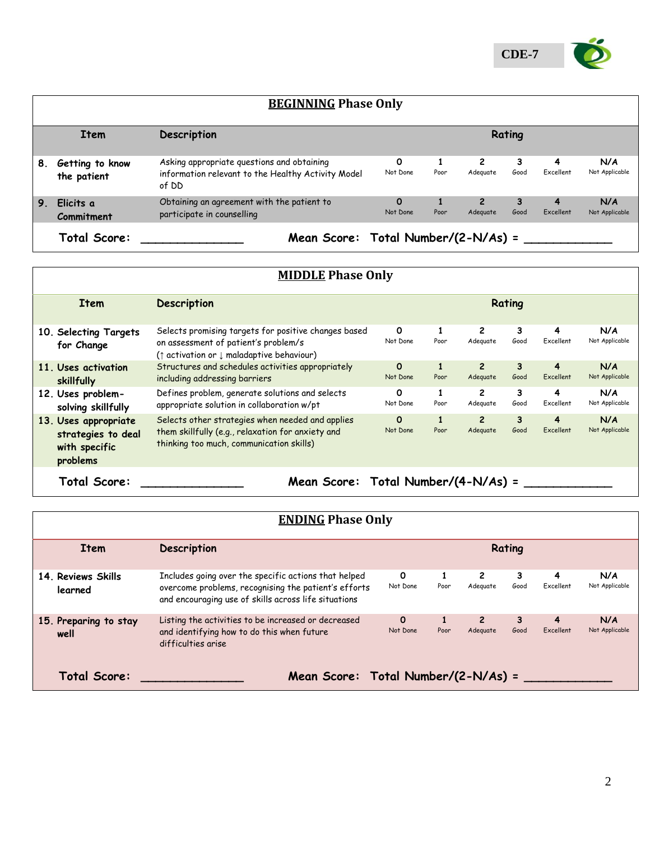

|    | <b>BEGINNING Phase Only</b>                         |                                                                                                           |                      |      |                          |           |                |                       |  |
|----|-----------------------------------------------------|-----------------------------------------------------------------------------------------------------------|----------------------|------|--------------------------|-----------|----------------|-----------------------|--|
|    | Rating<br>Description<br><b>Item</b>                |                                                                                                           |                      |      |                          |           |                |                       |  |
| 8. | Getting to know<br>the patient                      | Asking appropriate questions and obtaining<br>information relevant to the Healthy Activity Model<br>of DD | 0<br>Not Done        | Poor | $\mathbf{2}$<br>Adeguate | 3<br>Good | 4<br>Excellent | N/A<br>Not Applicable |  |
| 9. | Elicits a<br>Commitment                             | Obtaining an agreement with the patient to<br>participate in counselling                                  | $\Omega$<br>Not Done | Poor | 2<br>Adequate            | 3<br>Good | 4<br>Excellent | N/A<br>Not Applicable |  |
|    | Mean Score: Total Number/(2-N/As) =<br>Total Score: |                                                                                                           |                      |      |                          |           |                |                       |  |

| <b>MIDDLE Phase Only</b>                                                |                                                                                                                                                                |                      |                      |                            |           |                |                       |
|-------------------------------------------------------------------------|----------------------------------------------------------------------------------------------------------------------------------------------------------------|----------------------|----------------------|----------------------------|-----------|----------------|-----------------------|
| <b>Item</b>                                                             | <b>Description</b>                                                                                                                                             | Rating               |                      |                            |           |                |                       |
| 10. Selecting Targets<br>for Change                                     | Selects promising targets for positive changes based<br>on assessment of patient's problem/s<br>( $\uparrow$ activation or $\downarrow$ maladaptive behaviour) | 0<br>Not Done        | Poor                 | 2<br>Adequate              | 3<br>Good | 4<br>Excellent | N/A<br>Not Applicable |
| 11. Uses activation<br>skillfully                                       | Structures and schedules activities appropriately<br>including addressing barriers                                                                             | $\Omega$<br>Not Done | 1<br>Poor            | $\overline{c}$<br>Adequate | 3<br>Good | 4<br>Excellent | N/A<br>Not Applicable |
| 12. Uses problem-<br>solving skillfully                                 | Defines problem, generate solutions and selects<br>appropriate solution in collaboration w/pt                                                                  | 0<br>Not Done        | 1<br>Poor            | $\mathbf{2}$<br>Adequate   | 3<br>Good | 4<br>Excellent | N/A<br>Not Applicable |
| 13. Uses appropriate<br>strategies to deal<br>with specific<br>problems | Selects other strategies when needed and applies<br>them skillfully (e.g., relaxation for anxiety and<br>thinking too much, communication skills)              | $\Omega$<br>Not Done | $\mathbf{1}$<br>Poor | $\overline{c}$<br>Adequate | 3<br>Good | 4<br>Excellent | N/A<br>Not Applicable |
| Mean Score: Total Number/(4-N/As) =<br>Total Score:                     |                                                                                                                                                                |                      |                      |                            |           |                |                       |

| <b>ENDING Phase Only</b>                            |                                                                                                                                                                      |                          |      |                            |           |                |                       |
|-----------------------------------------------------|----------------------------------------------------------------------------------------------------------------------------------------------------------------------|--------------------------|------|----------------------------|-----------|----------------|-----------------------|
| Rating<br><b>Description</b><br><b>Item</b>         |                                                                                                                                                                      |                          |      |                            |           |                |                       |
| 14. Reviews Skills<br>learned                       | Includes going over the specific actions that helped<br>overcome problems, recognising the patient's efforts<br>and encouraging use of skills across life situations | $\mathbf{o}$<br>Not Done | Poor | $\mathbf{2}$<br>Adeguate   | 3<br>Good | 4<br>Excellent | N/A<br>Not Applicable |
| 15. Preparing to stay<br>well                       | Listing the activities to be increased or decreased<br>and identifying how to do this when future<br>difficulties arise                                              | $\Omega$<br>Not Done     | Poor | $\overline{2}$<br>Adequate | 3<br>Good | 4<br>Excellent | N/A<br>Not Applicable |
| Mean Score: Total Number/(2-N/As) =<br>Total Score: |                                                                                                                                                                      |                          |      |                            |           |                |                       |